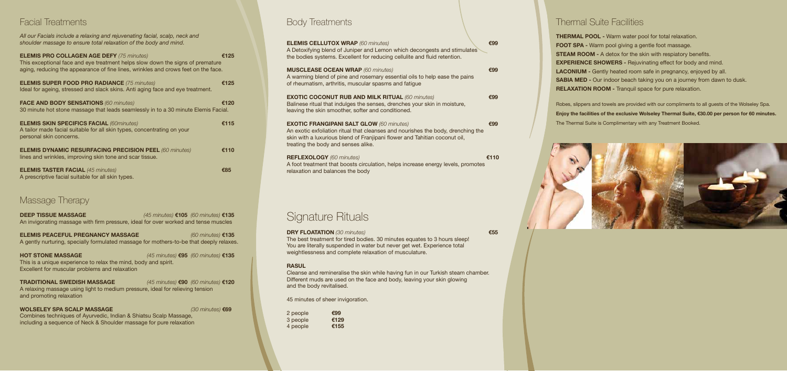#### Facial Treatments

| All our Facials include a relaxing and rejuvenating facial, scalp, neck and<br>shoulder massage to ensure total relaxation of the body and mind.                                                                         |      |
|--------------------------------------------------------------------------------------------------------------------------------------------------------------------------------------------------------------------------|------|
| <b>ELEMIS PRO COLLAGEN AGE DEFY (75 minutes)</b><br>This exceptional face and eye treatment helps slow down the signs of premature<br>aging, reducing the appearance of fine lines, wrinkles and crows feet on the face. | €125 |
| <b>ELEMIS SUPER FOOD PRO RADIANCE (75 minutes)</b><br>Ideal for ageing, stressed and slack skins. Anti aging face and eye treatment.                                                                                     | €125 |
| <b>FACE AND BODY SENSATIONS (60 minutes)</b><br>30 minute hot stone massage that leads seamlessly in to a 30 minute Elemis Facial.                                                                                       | €120 |
| <b>ELEMIS SKIN SPECIFICS FACIAL (60minutes)</b><br>A tailor made facial suitable for all skin types, concentrating on your<br>personal skin concerns.                                                                    | €115 |
| <b>ELEMIS DYNAMIC RESURFACING PRECISION PEEL (60 minutes)</b><br>lines and wrinkles, improving skin tone and scar tissue.                                                                                                | €110 |
| <b>ELEMIS TASTER FACIAL (45 minutes)</b><br>A prescriptive facial suitable for all skin types.                                                                                                                           | €85  |

#### Massage Therapy

**DEEP TISSUE MASSAGE** *(45 minutes)* **€105** *(60 minutes)* **€135** An invigorating massage with firm pressure, ideal for over worked and tense muscles

**ELEMIS PEACEFUL PREGNANCY MASSAGE** *(60 minutes)* **€135** A gently nurturing, specially formulated massage for mothers-to-be that deeply relaxes.

**HOT STONE MASSAGE** *(45 minutes)* **€95** *(60 minutes)* **€135** This is a unique experience to relax the mind, body and spirit. Excellent for muscular problems and relaxation

**TRADITIONAL SWEDISH MASSAGE** *(45 minutes)* **€90** *(60 minutes)* **€120** A relaxing massage using light to medium pressure, ideal for relieving tension and promoting relaxation

**WOLSELEY SPA SCALP MASSAGE** *(30 minutes)* **€69** Combines techniques of Ayurvedic, Indian & Shiatsu Scalp Massage, including a sequence of Neck & Shoulder massage for pure relaxation

Body Treatments

| <b>ELEMIS CELLUTOX WRAP (60 minutes)</b><br>A Detoxifying blend of Juniper and Lemon which decongests and stimulates<br>the bodies systems. Excellent for reducing cellulite and fluid retention.                                                        | €99  |  |
|----------------------------------------------------------------------------------------------------------------------------------------------------------------------------------------------------------------------------------------------------------|------|--|
| <b>MUSCLEASE OCEAN WRAP (60 minutes)</b><br>A warming blend of pine and rosemary essential oils to help ease the pains<br>of rheumatism, arthritis, muscular spasms and fatigue                                                                          | €99  |  |
| <b>EXOTIC COCONUT RUB AND MILK RITUAL (60 minutes)</b><br>Balinese ritual that indulges the senses, drenches your skin in moisture,<br>leaving the skin smoother, softer and conditioned.                                                                | €99  |  |
| <b>EXOTIC FRANGIPANI SALT GLOW (60 minutes)</b><br>An exotic exfoliation ritual that cleanses and nourishes the body, drenching the<br>skin with a luxurious blend of Franjipani flower and Tahitian coconut oil,<br>treating the body and senses alike. | €99  |  |
| <b>REFLEXOLOGY</b> (60 minutes)<br>A foot treatment that boosts circulation, helps increase energy levels, promotes<br>relaxation and balances the body                                                                                                  | €110 |  |

# Signature Rituals

**DRY FLOATATION** *(30 minutes)* **€55** The best treatment for tired bodies. 30 minutes equates to 3 hours sleep! You are literally suspended in water but never get wet. Experience total weightlessness and complete relaxation of musculature.

#### **RASUL**

Cleanse and remineralise the skin while having fun in our Turkish steam chamber. Different muds are used on the face and body, leaving your skin glowing and the body revitalised.

45 minutes of sheer invigoration.

| 2 people | €99  |
|----------|------|
| 3 people | €129 |
| 4 people | €155 |

#### Thermal Suite Facilities

**THERMAL POOL -** Warm water pool for total relaxation. **FOOT SPA -** Warm pool giving a gentle foot massage. **STEAM ROOM - A detox for the skin with respiatory benefits. EXPERIENCE SHOWERS -** Rejuvinating effect for body and mind. **LACONIUM -** Gently heated room safe in pregnancy, enjoyed by all. **SABIA MED -** Our indoor beach taking you on a journey from dawn to dusk. **RELAXATION ROOM -** Tranquil space for pure relaxation.

Robes, slippers and towels are provided with our compliments to all guests of the Wolseley Spa. **Enjoy the facilities of the exclusive Wolseley Thermal Suite, €30.00 per person for 60 minutes.** The Thermal Suite is Complimentary with any Treatment Booked.